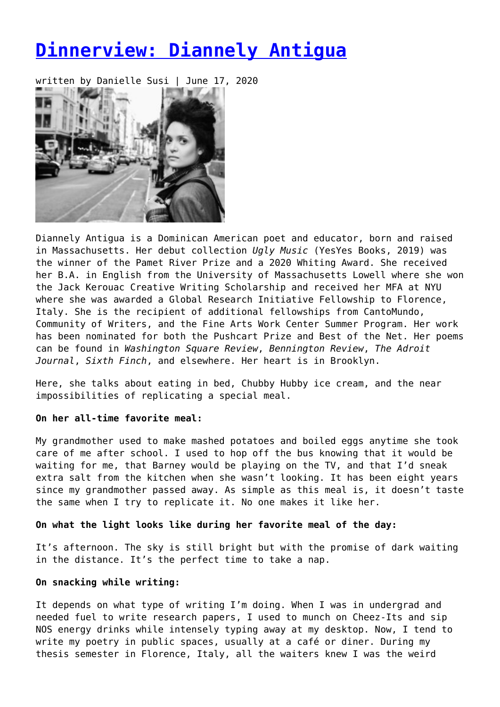# **[Dinnerview: Diannely Antigua](https://entropymag.org/dinnerview-diannely-antigua/)**

written by Danielle Susi | June 17, 2020



Diannely Antigua is a Dominican American poet and educator, born and raised in Massachusetts. Her debut collection *Ugly Music* (YesYes Books, 2019) was the winner of the Pamet River Prize and a 2020 Whiting Award. She received her B.A. in English from the University of Massachusetts Lowell where she won the Jack Kerouac Creative Writing Scholarship and received her MFA at NYU where she was awarded a Global Research Initiative Fellowship to Florence, Italy. She is the recipient of additional fellowships from CantoMundo, Community of Writers, and the Fine Arts Work Center Summer Program. Her work has been nominated for both the Pushcart Prize and Best of the Net. Her poems can be found in *Washington Square Review*, *Bennington Review*, *The Adroit Journal*, *Sixth Finch*, and elsewhere. Her heart is in Brooklyn.

Here, she talks about eating in bed, Chubby Hubby ice cream, and the near impossibilities of replicating a special meal.

# **On her all-time favorite meal:**

My grandmother used to make mashed potatoes and boiled eggs anytime she took care of me after school. I used to hop off the bus knowing that it would be waiting for me, that Barney would be playing on the TV, and that I'd sneak extra salt from the kitchen when she wasn't looking. It has been eight years since my grandmother passed away. As simple as this meal is, it doesn't taste the same when I try to replicate it. No one makes it like her.

#### **On what the light looks like during her favorite meal of the day:**

It's afternoon. The sky is still bright but with the promise of dark waiting in the distance. It's the perfect time to take a nap.

#### **On snacking while writing:**

It depends on what type of writing I'm doing. When I was in undergrad and needed fuel to write research papers, I used to munch on Cheez-Its and sip NOS energy drinks while intensely typing away at my desktop. Now, I tend to write my poetry in public spaces, usually at a café or diner. During my thesis semester in Florence, Italy, all the waiters knew I was the weird